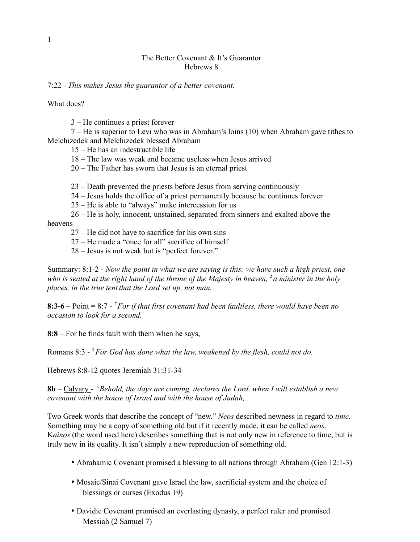## The Better Covenant & It's Guarantor Hebrews 8

## 7:22 - *This makes Jesus the guarantor of a better covenant.*

What does?

3 – He continues a priest forever

7 – He is superior to Levi who was in Abraham's loins (10) when Abraham gave tithes to Melchizedek and Melchizedek blessed Abraham

15 – He has an indestructible life

18 – The law was weak and became useless when Jesus arrived

20 – The Father has sworn that Jesus is an eternal priest

23 – Death prevented the priests before Jesus from serving continuously

24 – Jesus holds the office of a priest permanently because he continues forever

25 – He is able to "always" make intercession for us

26 – He is holy, innocent, unstained, separated from sinners and exalted above the heavens

27 – He did not have to sacrifice for his own sins

27 – He made a "once for all" sacrifice of himself

28 – Jesus is not weak but is "perfect forever."

Summary: 8:1-2 - *Now the point in what we are saying is this: we have such a high priest, one who is seated at the right hand of the throne of the Majesty in heaven, <sup>2</sup>a minister in the holy places, in the true tent that the Lord set up, not man.*

**8:3-6** – Point = 8:7 - *<sup>7</sup>For if that first covenant had been faultless, there would have been no occasion to look for a second.*

**8:8** – For he finds fault with them when he says,

Romans 8:3 - 3*For God has done what the law, weakened by the flesh, could not do.*

Hebrews 8:8-12 quotes Jeremiah 31:31-34

**8b** – Calvary - *"Behold, the days are coming, declares the Lord, when I will establish a new covenant with the house of Israel and with the house of Judah,*

Two Greek words that describe the concept of "new." *Neos* described newness in regard to *time*. Something may be a copy of something old but if it recently made, it can be called *neos*. K*ainos* (the word used here) describes something that is not only new in reference to time, but is truly new in its quality. It isn't simply a new reproduction of something old.

- Abrahamic Covenant promised a blessing to all nations through Abraham (Gen 12:1-3)
- Mosaic/Sinai Covenant gave Israel the law, sacrificial system and the choice of blessings or curses (Exodus 19)
- Davidic Covenant promised an everlasting dynasty, a perfect ruler and promised Messiah (2 Samuel 7)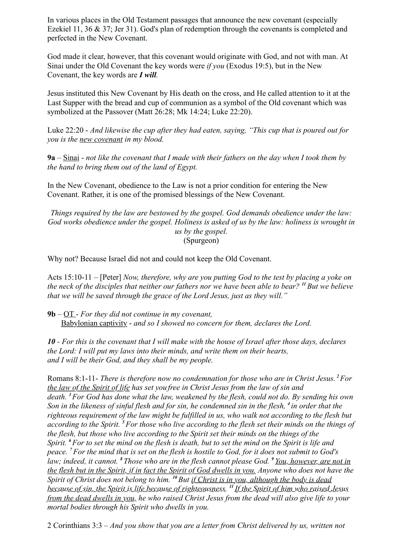In various places in the Old Testament passages that announce the new covenant (especially Ezekiel 11, 36  $\&$  37; Jer 31). God's plan of redemption through the covenants is completed and perfected in the New Covenant.

God made it clear, however, that this covenant would originate with God, and not with man. At Sinai under the Old Covenant the key words were *if you* (Exodus 19:5), but in the New Covenant, the key words are *I will.*

Jesus instituted this New Covenant by His death on the cross, and He called attention to it at the Last Supper with the bread and cup of communion as a symbol of the Old covenant which was symbolized at the Passover (Matt 26:28; Mk 14:24; Luke 22:20).

Luke 22:20 - *And likewise the cup after they had eaten, saying, "This cup that is poured out for you is the new covenant in my blood.*

**9a** – Sinai - *not like the covenant that I made with their fathers on the day when I took them by the hand to bring them out of the land of Egypt.*

In the New Covenant, obedience to the Law is not a prior condition for entering the New Covenant. Rather, it is one of the promised blessings of the New Covenant.

*Things required by the law are bestowed by the gospel. God demands obedience under the law: God works obedience under the gospel. Holiness is asked of us by the law: holiness is wrought in us by the gospel.* (Spurgeon)

Why not? Because Israel did not and could not keep the Old Covenant.

Acts 15:10-11 – [Peter] *Now, therefore, why are you putting God to the test by placing a yoke on the neck of the disciples that neither our fathers nor we have been able to bear? <sup>11</sup>But we believe that we will be saved through the grace of the Lord Jesus, just as they will."*

**9b** *–* OT - *For they did not continue in my covenant,* Babylonian captivity - *and so I showed no concern for them, declares the Lord.*

*10 - For this is the covenant that I will make with the house of Israel after those days, declares the Lord: I will put my laws into their minds, and write them on their hearts, and I will be their God, and they shall be my people.*

Romans 8:1-11- *There is therefore now no condemnation for those who are in Christ Jesus.<sup>2</sup>For the law of the Spirit of life has set you free in Christ Jesus from the law of sin and death. <sup>3</sup>For God has done what the law, weakened by the flesh, could not do. By sending his own Son in the likeness of sinful flesh and for sin, he condemned sin in the flesh, <sup>4</sup>in order that the righteous requirement of the law might be fulfilled in us, who walk not according to the flesh but according to the Spirit. <sup>5</sup>For those who live according to the flesh set their minds on the things of the flesh, but those who live according to the Spirit set their minds on the things of the Spirit. <sup>6</sup>For to set the mind on the flesh is death, but to set the mind on the Spirit is life and peace. <sup>7</sup>For the mind that is set on the flesh is hostile to God, for it does not submit to God's law; indeed, it cannot. <sup>8</sup>Those who are in the flesh cannot please God. <sup>9</sup>You, however, are not in the flesh but in the Spirit, if in fact the Spirit of God dwells in you. Anyone who does not have the Spirit of Christ does not belong to him. <sup>10</sup>But if Christ is in you, although the body is dead because of sin, the Spirit is life because of righteousness. <sup>11</sup>If the Spirit of him who raised Jesus from the dead dwells in you, he who raised Christ Jesus from the dead will also give life to your mortal bodies through his Spirit who dwells in you.*

2 Corinthians 3:3 – *And you show that you are a letter from Christ delivered by us, written not*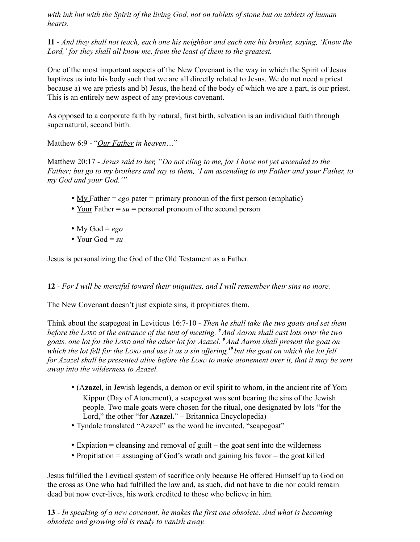*with ink but with the Spirit of the living God, not on tablets of stone but on tablets of human hearts.*

**11** - *And they shall not teach, each one his neighbor and each one his brother, saying, 'Know the Lord,' for they shall all know me, from the least of them to the greatest.*

One of the most important aspects of the New Covenant is the way in which the Spirit of Jesus baptizes us into his body such that we are all directly related to Jesus. We do not need a priest because a) we are priests and b) Jesus, the head of the body of which we are a part, is our priest. This is an entirely new aspect of any previous covenant.

As opposed to a corporate faith by natural, first birth, salvation is an individual faith through supernatural, second birth.

Matthew 6:9 - "*Our Father in heaven*…"

Matthew 20:17 - *Jesus said to her, "Do not cling to me, for I have not yet ascended to the Father; but go to my brothers and say to them, 'I am ascending to my Father and your Father, to my God and your God.'"*

- <u>My Father = *ego*</u> pater = primary pronoun of the first person (emphatic)
- Your Father  $= su$  = personal pronoun of the second person
- My God =  $ego$
- Your God =  $su$

Jesus is personalizing the God of the Old Testament as a Father.

**12** - *For I will be merciful toward their iniquities, and I will remember their sins no more.*

The New Covenant doesn't just expiate sins, it propitiates them.

Think about the scapegoat in Leviticus 16:7-10 - *Then he shall take the two goats and set them before the LORD at the entrance of the tent of meeting. <sup>8</sup>And Aaron shall cast lots over the two goats, one lot for the LORD and the other lot for Azazel. <sup>9</sup>And Aaron shall present the goat on which the lot fell for the LORD and use it as a sin offering,<sup>10</sup>but the goat on which the lot fell for Azazel shall be presented alive before the LORD to make atonement over it, that it may be sent away into the wilderness to Azazel.*

- (A**zazel**, in Jewish legends, a demon or evil spirit to whom, in the ancient rite of Yom Kippur (Day of Atonement), a scapegoat was sent bearing the sins of the Jewish people. Two male goats were chosen for the ritual, one designated by lots "for the Lord," the other "for **Azazel.**" – Britannica Encyclopedia)
- Tyndale translated "Azazel" as the word he invented, "scapegoat"
- Expiation  $=$  cleansing and removal of guilt  $-$  the goat sent into the wilderness
- Propitiation  $=$  assuaging of God's wrath and gaining his favor  $-$  the goat killed

Jesus fulfilled the Levitical system of sacrifice only because He offered Himself up to God on the cross as One who had fulfilled the law and, as such, did not have to die nor could remain dead but now ever-lives, his work credited to those who believe in him.

**13** - *In speaking of a new covenant, he makes the first one obsolete. And what is becoming obsolete and growing old is ready to vanish away.*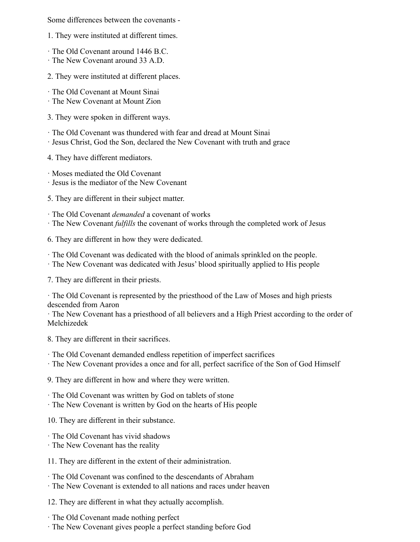Some differences between the covenants -

1. They were instituted at different times.

- · The Old Covenant around 1446 B.C.
- · The New Covenant around 33 A.D.
- 2. They were instituted at different places.
- · The Old Covenant at Mount Sinai
- · The New Covenant at Mount Zion
- 3. They were spoken in different ways.
- · The Old Covenant was thundered with fear and dread at Mount Sinai
- · Jesus Christ, God the Son, declared the New Covenant with truth and grace

4. They have different mediators.

· Moses mediated the Old Covenant

· Jesus is the mediator of the New Covenant

5. They are different in their subject matter.

· The Old Covenant *demanded* a covenant of works

· The New Covenant *fulfills* the covenant of works through the completed work of Jesus

6. They are different in how they were dedicated.

· The Old Covenant was dedicated with the blood of animals sprinkled on the people.

· The New Covenant was dedicated with Jesus' blood spiritually applied to His people

7. They are different in their priests.

· The Old Covenant is represented by the priesthood of the Law of Moses and high priests descended from Aaron

· The New Covenant has a priesthood of all believers and a High Priest according to the order of Melchizedek

8. They are different in their sacrifices.

- · The Old Covenant demanded endless repetition of imperfect sacrifices
- · The New Covenant provides a once and for all, perfect sacrifice of the Son of God Himself

9. They are different in how and where they were written.

- · The Old Covenant was written by God on tablets of stone
- · The New Covenant is written by God on the hearts of His people

10. They are different in their substance.

- · The Old Covenant has vivid shadows
- · The New Covenant has the reality
- 11. They are different in the extent of their administration.
- · The Old Covenant was confined to the descendants of Abraham
- · The New Covenant is extended to all nations and races under heaven

12. They are different in what they actually accomplish.

- · The Old Covenant made nothing perfect
- · The New Covenant gives people a perfect standing before God